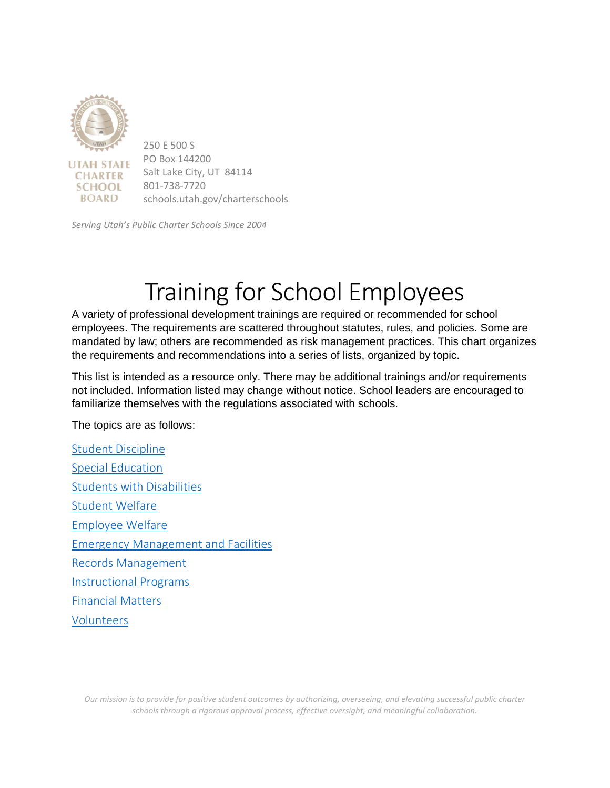

*Serving Utah's Public Charter Schools Since 2004*

# Training for School Employees

A variety of professional development trainings are required or recommended for school employees. The requirements are scattered throughout statutes, rules, and policies. Some are mandated by law; others are recommended as risk management practices. This chart organizes the requirements and recommendations into a series of lists, organized by topic.

This list is intended as a resource only. There may be additional trainings and/or requirements not included. Information listed may change without notice. School leaders are encouraged to familiarize themselves with the regulations associated with schools.

The topics are as follows:

[Student Discipline](#page-1-0) [Special Education](#page-2-0) [Students with Disabilities](#page-3-0) [Student Welfare](#page-4-0) [Employee Welfare](#page-7-0) [Emergency Management and Facilities](#page-8-0) [Records Management](#page-9-0) [Instructional Programs](#page-10-0) [Financial Matters](#page-12-0) [Volunteers](#page-13-0)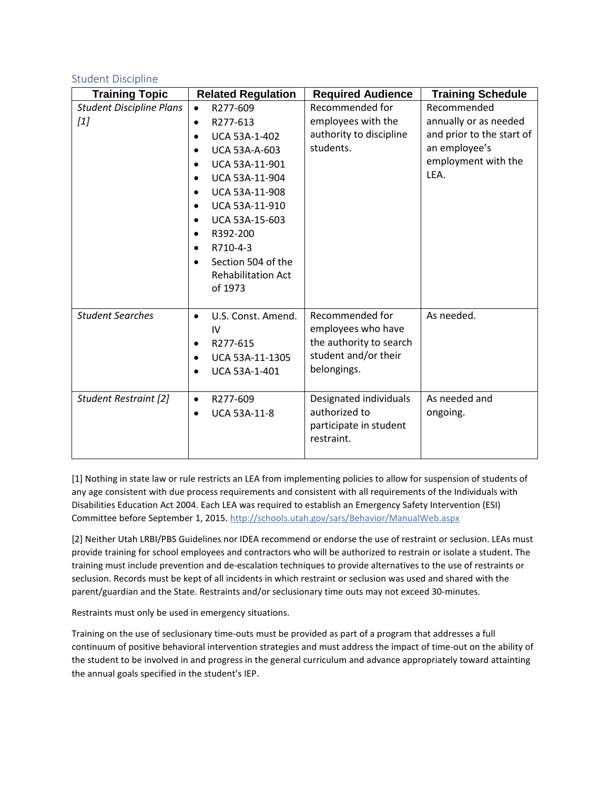### <span id="page-1-0"></span>Student Discipline

| <b>Training Topic</b>           | <b>Related Regulation</b>         | <b>Required Audience</b> | <b>Training Schedule</b>  |
|---------------------------------|-----------------------------------|--------------------------|---------------------------|
| <b>Student Discipline Plans</b> | R277-609<br>$\bullet$             | Recommended for          | Recommended               |
| $[1]$                           | R277-613<br>$\bullet$             | employees with the       | annually or as needed     |
|                                 | UCA 53A-1-402<br>$\bullet$        | authority to discipline  | and prior to the start of |
|                                 | <b>UCA 53A-A-603</b><br>$\bullet$ | students.                | an employee's             |
|                                 | UCA 53A-11-901<br>$\bullet$       |                          | employment with the       |
|                                 | UCA 53A-11-904<br>$\bullet$       |                          | LEA.                      |
|                                 | UCA 53A-11-908<br>$\bullet$       |                          |                           |
|                                 | UCA 53A-11-910<br>$\bullet$       |                          |                           |
|                                 | UCA 53A-15-603<br>٠               |                          |                           |
|                                 | R392-200<br>$\bullet$             |                          |                           |
|                                 | R710-4-3<br>$\bullet$             |                          |                           |
|                                 | Section 504 of the                |                          |                           |
|                                 | <b>Rehabilitation Act</b>         |                          |                           |
|                                 | of 1973                           |                          |                           |
|                                 |                                   |                          |                           |
| <b>Student Searches</b>         | U.S. Const. Amend.<br>$\bullet$   | Recommended for          | As needed.                |
|                                 | IV                                | employees who have       |                           |
|                                 | R277-615<br>$\bullet$             | the authority to search  |                           |
|                                 | UCA 53A-11-1305<br>$\bullet$      | student and/or their     |                           |
|                                 | UCA 53A-1-401                     | belongings.              |                           |
|                                 |                                   |                          |                           |
| Student Restraint [2]           | R277-609<br>$\bullet$             | Designated individuals   | As needed and             |
|                                 | <b>UCA 53A-11-8</b><br>$\bullet$  | authorized to            | ongoing.                  |
|                                 |                                   | participate in student   |                           |
|                                 |                                   | restraint.               |                           |
|                                 |                                   |                          |                           |

[1] Nothing in state law or rule restricts an LEA from implementing policies to allow for suspension of students of any age consistent with due process requirements and consistent with all requirements of the Individuals with Disabilities Education Act 2004. Each LEA was required to establish an Emergency Safety Intervention (ESI) Committee before September 1, 2015. <http://schools.utah.gov/sars/Behavior/ManualWeb.aspx>

[2] Neither Utah LRBI/PBS Guidelines nor IDEA recommend or endorse the use of restraint or seclusion. LEAs must provide training for school employees and contractors who will be authorized to restrain or isolate a student. The training must include prevention and de-escalation techniques to provide alternatives to the use of restraints or seclusion. Records must be kept of all incidents in which restraint or seclusion was used and shared with the parent/guardian and the State. Restraints and/or seclusionary time outs may not exceed 30-minutes.

Restraints must only be used in emergency situations.

Training on the use of seclusionary time-outs must be provided as part of a program that addresses a full continuum of positive behavioral intervention strategies and must address the impact of time-out on the ability of the student to be involved in and progress in the general curriculum and advance appropriately toward attainting the annual goals specified in the student's IEP.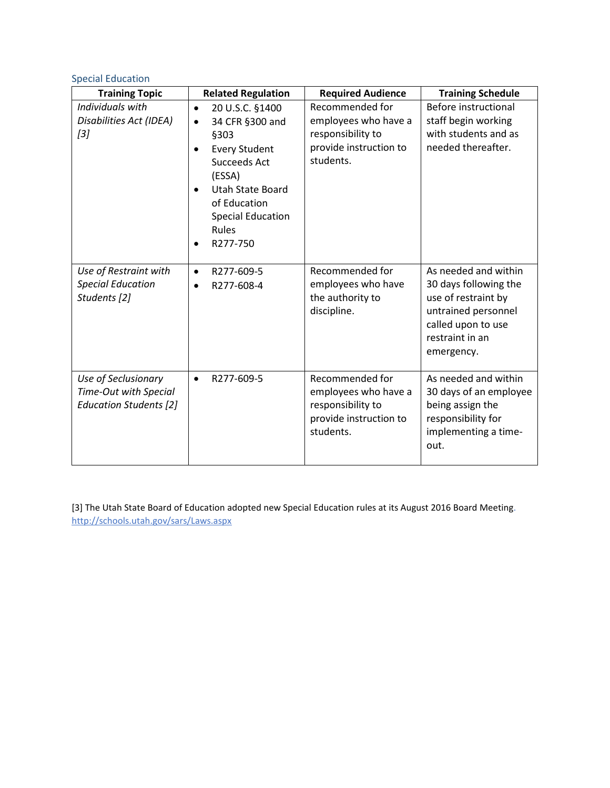## <span id="page-2-0"></span>Special Education

| <b>Training Topic</b>                                                         | <b>Related Regulation</b>                                                                                                                                                    | <b>Required Audience</b>                                                                            | <b>Training Schedule</b>                                                                                                                           |
|-------------------------------------------------------------------------------|------------------------------------------------------------------------------------------------------------------------------------------------------------------------------|-----------------------------------------------------------------------------------------------------|----------------------------------------------------------------------------------------------------------------------------------------------------|
| Individuals with                                                              | 20 U.S.C. §1400<br>$\bullet$                                                                                                                                                 | Recommended for                                                                                     | Before instructional                                                                                                                               |
| Disabilities Act (IDEA)                                                       | 34 CFR §300 and<br>$\bullet$                                                                                                                                                 | employees who have a                                                                                | staff begin working                                                                                                                                |
| $[3]$                                                                         | §303<br><b>Every Student</b><br>$\bullet$<br>Succeeds Act<br>(ESSA)<br><b>Utah State Board</b><br>$\bullet$<br>of Education<br><b>Special Education</b><br>Rules<br>R277-750 | responsibility to<br>provide instruction to<br>students.                                            | with students and as<br>needed thereafter.                                                                                                         |
| Use of Restraint with<br><b>Special Education</b><br>Students [2]             | R277-609-5<br>$\bullet$<br>R277-608-4<br>$\bullet$                                                                                                                           | Recommended for<br>employees who have<br>the authority to<br>discipline.                            | As needed and within<br>30 days following the<br>use of restraint by<br>untrained personnel<br>called upon to use<br>restraint in an<br>emergency. |
| Use of Seclusionary<br>Time-Out with Special<br><b>Education Students [2]</b> | R277-609-5<br>$\bullet$                                                                                                                                                      | Recommended for<br>employees who have a<br>responsibility to<br>provide instruction to<br>students. | As needed and within<br>30 days of an employee<br>being assign the<br>responsibility for<br>implementing a time-<br>out.                           |

[3] The Utah State Board of Education adopted new Special Education rules at its August 2016 Board Meeting. <http://schools.utah.gov/sars/Laws.aspx>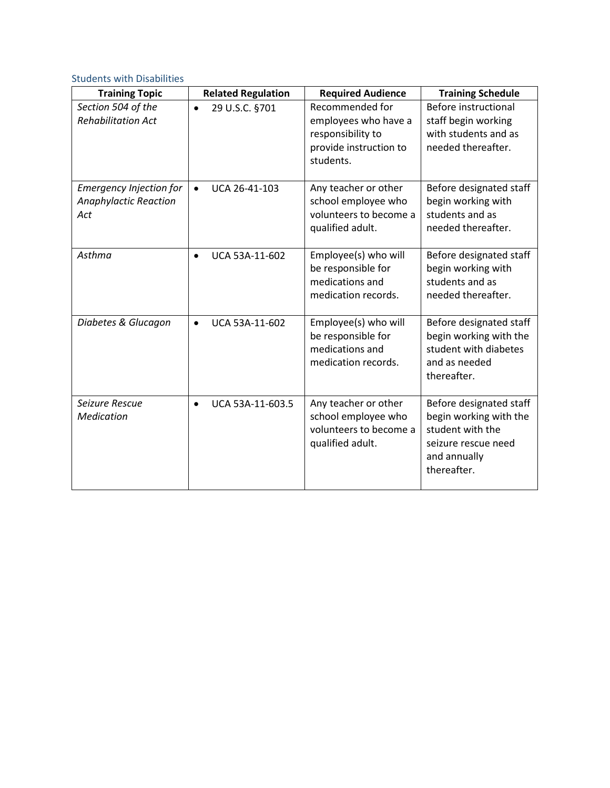## <span id="page-3-0"></span>Students with Disabilities

| <b>Training Topic</b>          | <b>Related Regulation</b>   | <b>Required Audience</b>                      | <b>Training Schedule</b>                   |
|--------------------------------|-----------------------------|-----------------------------------------------|--------------------------------------------|
| Section 504 of the             | 29 U.S.C. §701<br>$\bullet$ | Recommended for                               | Before instructional                       |
| <b>Rehabilitation Act</b>      |                             | employees who have a                          | staff begin working                        |
|                                |                             | responsibility to                             | with students and as                       |
|                                |                             | provide instruction to                        | needed thereafter.                         |
|                                |                             | students.                                     |                                            |
| <b>Emergency Injection for</b> | UCA 26-41-103<br>$\bullet$  | Any teacher or other                          | Before designated staff                    |
| <b>Anaphylactic Reaction</b>   |                             | school employee who                           | begin working with                         |
| Act                            |                             | volunteers to become a                        | students and as                            |
|                                |                             | qualified adult.                              | needed thereafter.                         |
|                                |                             |                                               |                                            |
| Asthma                         | UCA 53A-11-602<br>$\bullet$ | Employee(s) who will                          | Before designated staff                    |
|                                |                             | be responsible for                            | begin working with                         |
|                                |                             | medications and                               | students and as                            |
|                                |                             | medication records.                           | needed thereafter.                         |
| Diabetes & Glucagon            | UCA 53A-11-602<br>$\bullet$ | Employee(s) who will                          | Before designated staff                    |
|                                |                             | be responsible for                            | begin working with the                     |
|                                |                             | medications and                               | student with diabetes                      |
|                                |                             | medication records.                           | and as needed                              |
|                                |                             |                                               | thereafter.                                |
|                                |                             |                                               |                                            |
| Seizure Rescue                 | UCA 53A-11-603.5            | Any teacher or other                          | Before designated staff                    |
| Medication                     |                             | school employee who<br>volunteers to become a | begin working with the<br>student with the |
|                                |                             | qualified adult.                              | seizure rescue need                        |
|                                |                             |                                               | and annually                               |
|                                |                             |                                               | thereafter.                                |
|                                |                             |                                               |                                            |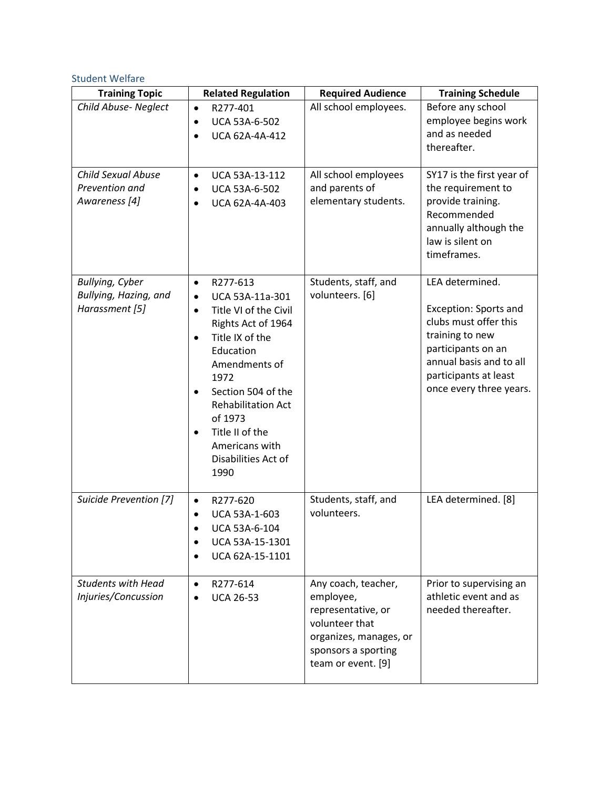## <span id="page-4-0"></span>Student Welfare

| <b>Training Topic</b>                                             | <b>Related Regulation</b>                                                                                                                                                                                                                                                                                                 | <b>Required Audience</b>                                                                                                                        | <b>Training Schedule</b>                                                                                                                                                                         |
|-------------------------------------------------------------------|---------------------------------------------------------------------------------------------------------------------------------------------------------------------------------------------------------------------------------------------------------------------------------------------------------------------------|-------------------------------------------------------------------------------------------------------------------------------------------------|--------------------------------------------------------------------------------------------------------------------------------------------------------------------------------------------------|
| Child Abuse- Neglect                                              | R277-401<br>$\bullet$<br>UCA 53A-6-502<br>$\bullet$<br>UCA 62A-4A-412<br>$\bullet$                                                                                                                                                                                                                                        | All school employees.                                                                                                                           | Before any school<br>employee begins work<br>and as needed<br>thereafter.                                                                                                                        |
| <b>Child Sexual Abuse</b><br>Prevention and<br>Awareness [4]      | UCA 53A-13-112<br>$\bullet$<br>UCA 53A-6-502<br>$\bullet$<br>UCA 62A-4A-403<br>$\bullet$                                                                                                                                                                                                                                  | All school employees<br>and parents of<br>elementary students.                                                                                  | SY17 is the first year of<br>the requirement to<br>provide training.<br>Recommended<br>annually although the<br>law is silent on<br>timeframes.                                                  |
| <b>Bullying, Cyber</b><br>Bullying, Hazing, and<br>Harassment [5] | R277-613<br>$\bullet$<br>UCA 53A-11a-301<br>$\bullet$<br>Title VI of the Civil<br>$\bullet$<br>Rights Act of 1964<br>Title IX of the<br>$\bullet$<br>Education<br>Amendments of<br>1972<br>Section 504 of the<br><b>Rehabilitation Act</b><br>of 1973<br>Title II of the<br>Americans with<br>Disabilities Act of<br>1990 | Students, staff, and<br>volunteers. [6]                                                                                                         | LEA determined.<br><b>Exception: Sports and</b><br>clubs must offer this<br>training to new<br>participants on an<br>annual basis and to all<br>participants at least<br>once every three years. |
| Suicide Prevention [7]                                            | R277-620<br>$\bullet$<br>UCA 53A-1-603<br>$\bullet$<br>UCA 53A-6-104<br>UCA 53A-15-1301<br>UCA 62A-15-1101                                                                                                                                                                                                                | Students, staff, and<br>volunteers.                                                                                                             | LEA determined. [8]                                                                                                                                                                              |
| <b>Students with Head</b><br>Injuries/Concussion                  | R277-614<br>$\bullet$<br><b>UCA 26-53</b><br>$\bullet$                                                                                                                                                                                                                                                                    | Any coach, teacher,<br>employee,<br>representative, or<br>volunteer that<br>organizes, manages, or<br>sponsors a sporting<br>team or event. [9] | Prior to supervising an<br>athletic event and as<br>needed thereafter.                                                                                                                           |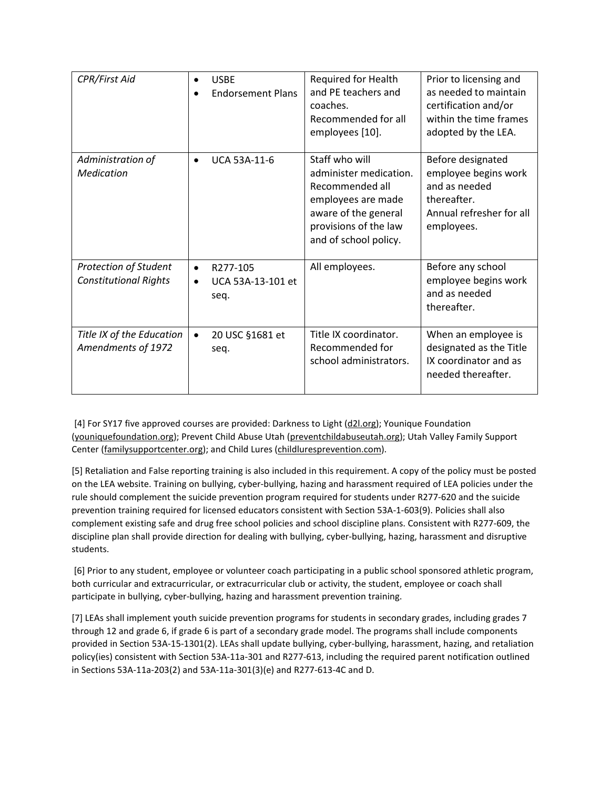| CPR/First Aid                                                |                        | <b>USBE</b><br><b>Endorsement Plans</b> | Required for Health<br>and PE teachers and<br>coaches.<br>Recommended for all<br>employees [10].                                                            | Prior to licensing and<br>as needed to maintain<br>certification and/or<br>within the time frames<br>adopted by the LEA. |
|--------------------------------------------------------------|------------------------|-----------------------------------------|-------------------------------------------------------------------------------------------------------------------------------------------------------------|--------------------------------------------------------------------------------------------------------------------------|
| Administration of<br>Medication                              | $\bullet$              | <b>UCA 53A-11-6</b>                     | Staff who will<br>administer medication.<br>Recommended all<br>employees are made<br>aware of the general<br>provisions of the law<br>and of school policy. | Before designated<br>employee begins work<br>and as needed<br>thereafter.<br>Annual refresher for all<br>employees.      |
| <b>Protection of Student</b><br><b>Constitutional Rights</b> | $\bullet$<br>$\bullet$ | R277-105<br>UCA 53A-13-101 et<br>seq.   | All employees.                                                                                                                                              | Before any school<br>employee begins work<br>and as needed<br>thereafter.                                                |
| Title IX of the Education<br>Amendments of 1972              | $\bullet$              | 20 USC §1681 et<br>seq.                 | Title IX coordinator.<br>Recommended for<br>school administrators.                                                                                          | When an employee is<br>designated as the Title<br>IX coordinator and as<br>needed thereafter.                            |

[4] For SY17 five approved courses are provided: Darkness to Light [\(d2l.org\)](http://www.d2l.org/site/c.4dICIJOkGcISE/b.6035035/k.8258/Prevent_Child_Sexual_Abuse.htm#.V8Cb0oWcGcx); Younique Foundation [\(youniquefoundation.org\)](http://youniquefoundation.org/); Prevent Child Abuse Utah [\(preventchildabuseutah.org\)](http://preventchildabuseutah.org/); Utah Valley Family Support Center [\(familysupportcenter.org\)](http://www.familysupportcenter.org/); and Child Lures [\(childluresprevention.com\)](http://childluresprevention.com/).

[5] Retaliation and False reporting training is also included in this requirement. A copy of the policy must be posted on the LEA website. Training on bullying, cyber-bullying, hazing and harassment required of LEA policies under the rule should complement the suicide prevention program required for students under R277-620 and the suicide prevention training required for licensed educators consistent with Section 53A-1-603(9). Policies shall also complement existing safe and drug free school policies and school discipline plans. Consistent with R277-609, the discipline plan shall provide direction for dealing with bullying, cyber-bullying, hazing, harassment and disruptive students.

[6] Prior to any student, employee or volunteer coach participating in a public school sponsored athletic program, both curricular and extracurricular, or extracurricular club or activity, the student, employee or coach shall participate in bullying, cyber-bullying, hazing and harassment prevention training.

[7] LEAs shall implement youth suicide prevention programs for students in secondary grades, including grades 7 through 12 and grade 6, if grade 6 is part of a secondary grade model. The programs shall include components provided in Section 53A-15-1301(2). LEAs shall update bullying, cyber-bullying, harassment, hazing, and retaliation policy(ies) consistent with Section 53A-11a-301 and R277-613, including the required parent notification outlined in Sections 53A-11a-203(2) and 53A-11a-301(3)(e) and R277-613-4C and D.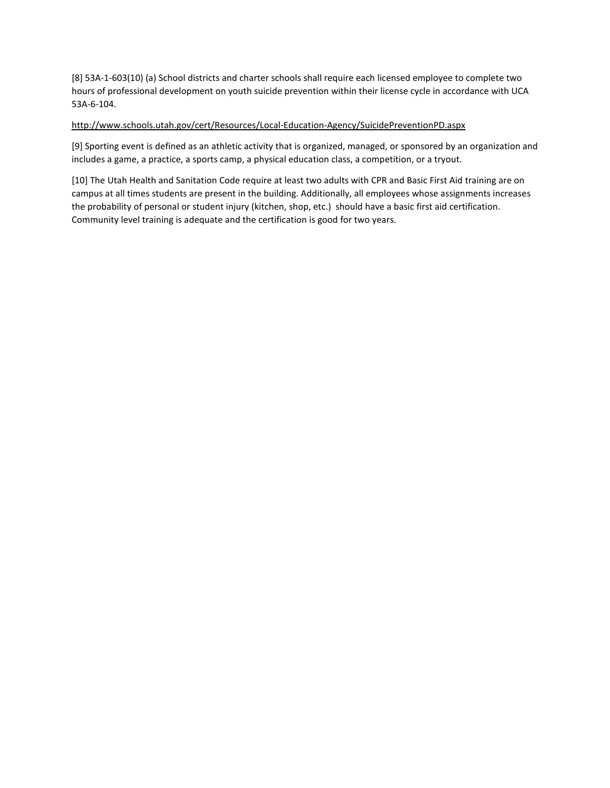[8] 53A-1-603(10) (a) School districts and charter schools shall require each licensed employee to complete two hours of professional development on youth suicide prevention within their license cycle in accordance with UCA 53A-6-104.

#### <http://www.schools.utah.gov/cert/Resources/Local-Education-Agency/SuicidePreventionPD.aspx>

[9] Sporting event is defined as an athletic activity that is organized, managed, or sponsored by an organization and includes a game, a practice, a sports camp, a physical education class, a competition, or a tryout.

[10] The Utah Health and Sanitation Code require at least two adults with CPR and Basic First Aid training are on campus at all times students are present in the building. Additionally, all employees whose assignments increases the probability of personal or student injury (kitchen, shop, etc.) should have a basic first aid certification. Community level training is adequate and the certification is good for two years.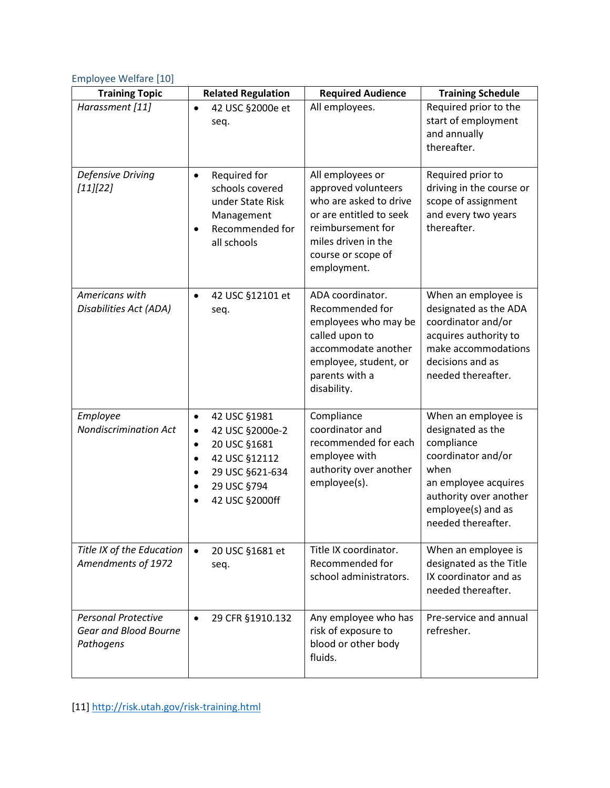## <span id="page-7-0"></span>Employee Welfare [10]

| <b>Training Topic</b>                                            | <b>Related Regulation</b>                                                                                                                                                                          | <b>Required Audience</b>                                                                                                                                                      | <b>Training Schedule</b>                                                                                                                                                           |
|------------------------------------------------------------------|----------------------------------------------------------------------------------------------------------------------------------------------------------------------------------------------------|-------------------------------------------------------------------------------------------------------------------------------------------------------------------------------|------------------------------------------------------------------------------------------------------------------------------------------------------------------------------------|
| Harassment [11]                                                  | 42 USC §2000e et<br>$\bullet$<br>seq.                                                                                                                                                              | All employees.                                                                                                                                                                | Required prior to the<br>start of employment<br>and annually<br>thereafter.                                                                                                        |
| Defensive Driving<br>[11][22]                                    | Required for<br>$\bullet$<br>schools covered<br>under State Risk<br>Management<br>Recommended for<br>all schools                                                                                   | All employees or<br>approved volunteers<br>who are asked to drive<br>or are entitled to seek<br>reimbursement for<br>miles driven in the<br>course or scope of<br>employment. | Required prior to<br>driving in the course or<br>scope of assignment<br>and every two years<br>thereafter.                                                                         |
| Americans with<br>Disabilities Act (ADA)                         | 42 USC §12101 et<br>$\bullet$<br>seq.                                                                                                                                                              | ADA coordinator.<br>Recommended for<br>employees who may be<br>called upon to<br>accommodate another<br>employee, student, or<br>parents with a<br>disability.                | When an employee is<br>designated as the ADA<br>coordinator and/or<br>acquires authority to<br>make accommodations<br>decisions and as<br>needed thereafter.                       |
| Employee<br><b>Nondiscrimination Act</b>                         | 42 USC §1981<br>$\bullet$<br>42 USC §2000e-2<br>$\bullet$<br>20 USC §1681<br>$\bullet$<br>42 USC §12112<br>$\bullet$<br>29 USC §621-634<br>$\bullet$<br>29 USC §794<br>$\bullet$<br>42 USC §2000ff | Compliance<br>coordinator and<br>recommended for each<br>employee with<br>authority over another<br>employee(s).                                                              | When an employee is<br>designated as the<br>compliance<br>coordinator and/or<br>when<br>an employee acquires<br>authority over another<br>employee(s) and as<br>needed thereafter. |
| Title IX of the Education<br>Amendments of 1972                  | 20 USC §1681 et<br>$\bullet$<br>seq.                                                                                                                                                               | Title IX coordinator.<br>Recommended for<br>school administrators.                                                                                                            | When an employee is<br>designated as the Title<br>IX coordinator and as<br>needed thereafter.                                                                                      |
| <b>Personal Protective</b><br>Gear and Blood Bourne<br>Pathogens | 29 CFR §1910.132<br>$\bullet$                                                                                                                                                                      | Any employee who has<br>risk of exposure to<br>blood or other body<br>fluids.                                                                                                 | Pre-service and annual<br>refresher.                                                                                                                                               |

[11[\] http://risk.utah.gov/risk-training.html](http://risk.utah.gov/risk-training.html)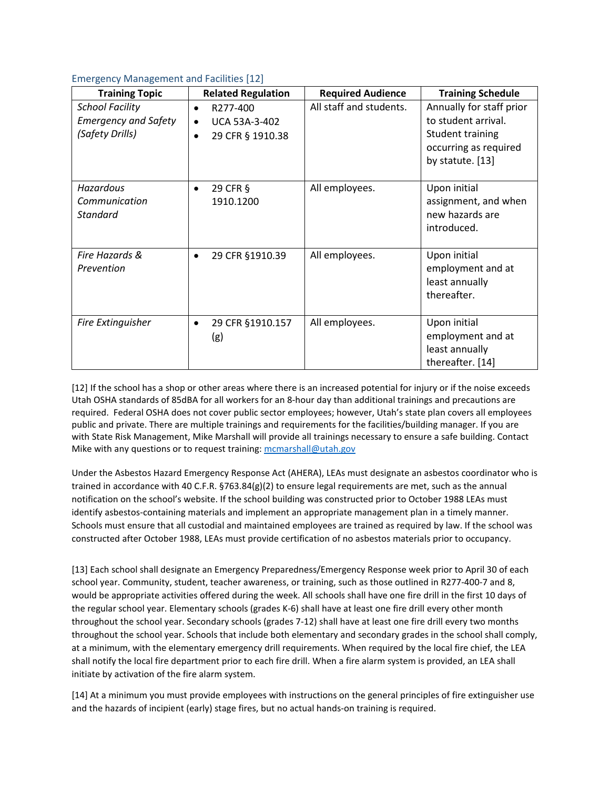#### <span id="page-8-0"></span>Emergency Management and Facilities [12]

| <b>Training Topic</b>                                                    | <b>Related Regulation</b>                                                                   | <b>Required Audience</b> | <b>Training Schedule</b>                                                                                         |
|--------------------------------------------------------------------------|---------------------------------------------------------------------------------------------|--------------------------|------------------------------------------------------------------------------------------------------------------|
| <b>School Facility</b><br><b>Emergency and Safety</b><br>(Safety Drills) | R277-400<br>$\bullet$<br><b>UCA 53A-3-402</b><br>$\bullet$<br>29 CFR § 1910.38<br>$\bullet$ | All staff and students.  | Annually for staff prior<br>to student arrival.<br>Student training<br>occurring as required<br>by statute. [13] |
| Hazardous<br>Communication<br>Standard                                   | 29 CFR §<br>1910.1200                                                                       | All employees.           | Upon initial<br>assignment, and when<br>new hazards are<br>introduced.                                           |
| Fire Hazards &<br>Prevention                                             | 29 CFR §1910.39<br>$\bullet$                                                                | All employees.           | Upon initial<br>employment and at<br>least annually<br>thereafter.                                               |
| Fire Extinguisher                                                        | 29 CFR §1910.157<br>$\bullet$<br>(g)                                                        | All employees.           | Upon initial<br>employment and at<br>least annually<br>thereafter. [14]                                          |

[12] If the school has a shop or other areas where there is an increased potential for injury or if the noise exceeds Utah OSHA standards of 85dBA for all workers for an 8-hour day than additional trainings and precautions are required. Federal OSHA does not cover public sector employees; however, Utah's state plan covers all employees public and private. There are multiple trainings and requirements for the facilities/building manager. If you are with State Risk Management, Mike Marshall will provide all trainings necessary to ensure a safe building. Contact Mike with any questions or to request training: [mcmarshall@utah.gov](mailto:mcmarshall@utah.gov)

Under the Asbestos Hazard Emergency Response Act (AHERA), LEAs must designate an asbestos coordinator who is trained in accordance with 40 C.F.R. §763.84(g)(2) to ensure legal requirements are met, such as the annual notification on the school's website. If the school building was constructed prior to October 1988 LEAs must identify asbestos-containing materials and implement an appropriate management plan in a timely manner. Schools must ensure that all custodial and maintained employees are trained as required by law. If the school was constructed after October 1988, LEAs must provide certification of no asbestos materials prior to occupancy.

[13] Each school shall designate an Emergency Preparedness/Emergency Response week prior to April 30 of each school year. Community, student, teacher awareness, or training, such as those outlined in R277-400-7 and 8, would be appropriate activities offered during the week. All schools shall have one fire drill in the first 10 days of the regular school year. Elementary schools (grades K-6) shall have at least one fire drill every other month throughout the school year. Secondary schools (grades 7-12) shall have at least one fire drill every two months throughout the school year. Schools that include both elementary and secondary grades in the school shall comply, at a minimum, with the elementary emergency drill requirements. When required by the local fire chief, the LEA shall notify the local fire department prior to each fire drill. When a fire alarm system is provided, an LEA shall initiate by activation of the fire alarm system.

[14] At a minimum you must provide employees with instructions on the general principles of fire extinguisher use and the hazards of incipient (early) stage fires, but no actual hands-on training is required.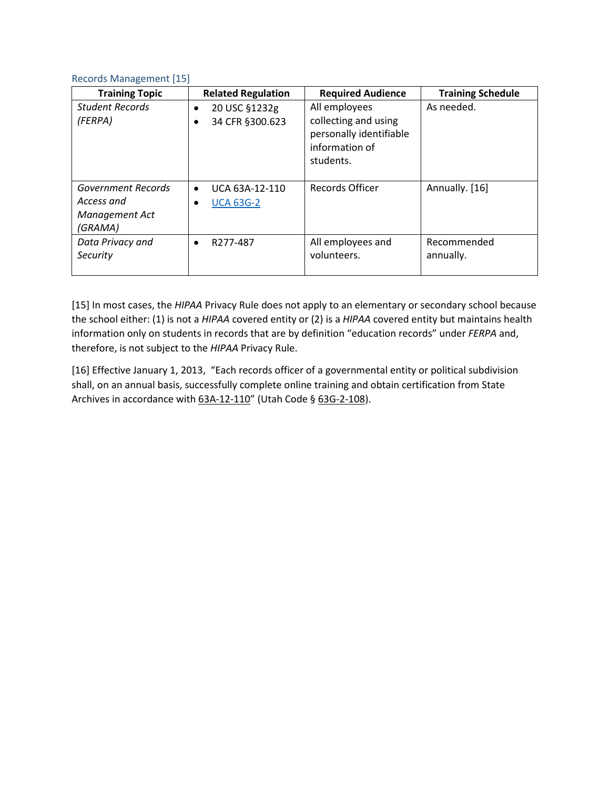#### <span id="page-9-0"></span>Records Management [15]

| <b>Training Topic</b>                                         | <b>Related Regulation</b>                          | <b>Required Audience</b>                                                                        | <b>Training Schedule</b> |
|---------------------------------------------------------------|----------------------------------------------------|-------------------------------------------------------------------------------------------------|--------------------------|
| <b>Student Records</b><br>(FERPA)                             | 20 USC §1232g<br>$\bullet$<br>34 CFR §300.623<br>٠ | All employees<br>collecting and using<br>personally identifiable<br>information of<br>students. | As needed.               |
| Government Records<br>Access and<br>Management Act<br>(GRAMA) | UCA 63A-12-110<br>$\bullet$<br><b>UCA 63G-2</b>    | <b>Records Officer</b>                                                                          | Annually. [16]           |
| Data Privacy and<br>Security                                  | R277-487                                           | All employees and<br>volunteers.                                                                | Recommended<br>annually. |

[15] In most cases, the *HIPAA* Privacy Rule does not apply to an elementary or secondary school because the school either: (1) is not a *HIPAA* covered entity or (2) is a *HIPAA* covered entity but maintains health information only on students in records that are by definition "education records" under *FERPA* and, therefore, is not subject to the *HIPAA* Privacy Rule.

[16] Effective January 1, 2013, "Each records officer of a governmental entity or political subdivision shall, on an annual basis, successfully complete online training and obtain certification from State Archives in accordance with [63A-12-110"](http://le.utah.gov/xcode/Title63A/Chapter12/63A-12-S110.html) (Utah Code § [63G-2-108\)](http://le.utah.gov/xcode/Title63G/Chapter2/63G-2-S108.html).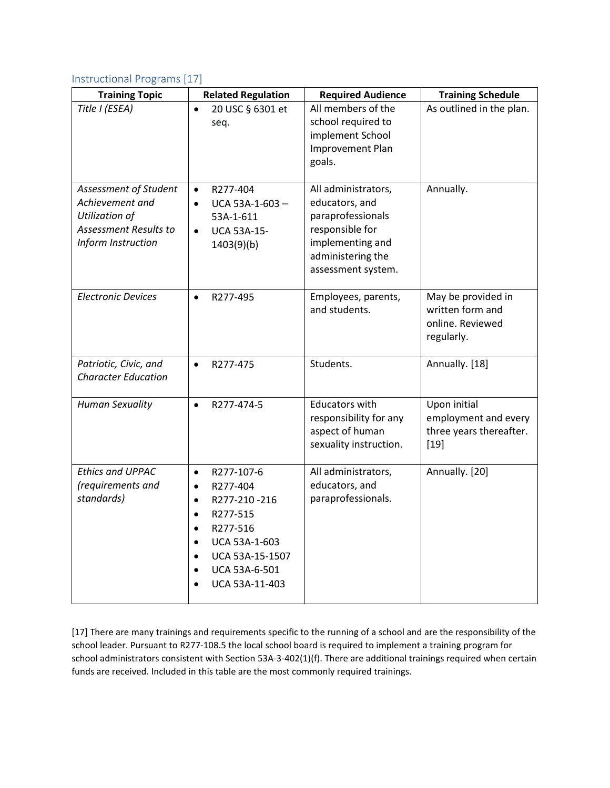## <span id="page-10-0"></span>Instructional Programs [17]

| <b>Training Topic</b>                                                                                            | <b>Related Regulation</b>                                                                                                                                                                                                                     | <b>Required Audience</b>                                                                                                                     | <b>Training Schedule</b>                                                  |
|------------------------------------------------------------------------------------------------------------------|-----------------------------------------------------------------------------------------------------------------------------------------------------------------------------------------------------------------------------------------------|----------------------------------------------------------------------------------------------------------------------------------------------|---------------------------------------------------------------------------|
| Title I (ESEA)                                                                                                   | 20 USC § 6301 et<br>$\bullet$<br>seq.                                                                                                                                                                                                         | All members of the<br>school required to<br>implement School<br>Improvement Plan<br>goals.                                                   | As outlined in the plan.                                                  |
| Assessment of Student<br>Achievement and<br><b>Utilization of</b><br>Assessment Results to<br>Inform Instruction | R277-404<br>$\bullet$<br>UCA 53A-1-603-<br>$\bullet$<br>53A-1-611<br><b>UCA 53A-15-</b><br>$\bullet$<br>1403(9)(b)                                                                                                                            | All administrators,<br>educators, and<br>paraprofessionals<br>responsible for<br>implementing and<br>administering the<br>assessment system. | Annually.                                                                 |
| <b>Electronic Devices</b>                                                                                        | R277-495<br>$\bullet$                                                                                                                                                                                                                         | Employees, parents,<br>and students.                                                                                                         | May be provided in<br>written form and<br>online. Reviewed<br>regularly.  |
| Patriotic, Civic, and<br><b>Character Education</b>                                                              | R277-475<br>$\bullet$                                                                                                                                                                                                                         | Students.                                                                                                                                    | Annually. [18]                                                            |
| <b>Human Sexuality</b>                                                                                           | R277-474-5<br>$\bullet$                                                                                                                                                                                                                       | Educators with<br>responsibility for any<br>aspect of human<br>sexuality instruction.                                                        | Upon initial<br>employment and every<br>three years thereafter.<br>$[19]$ |
| <b>Ethics and UPPAC</b><br>(requirements and<br>standards)                                                       | R277-107-6<br>$\bullet$<br>R277-404<br>$\bullet$<br>R277-210-216<br>$\bullet$<br>R277-515<br>$\bullet$<br>R277-516<br>$\bullet$<br>UCA 53A-1-603<br>$\bullet$<br>UCA 53A-15-1507<br>$\bullet$<br>UCA 53A-6-501<br>$\bullet$<br>UCA 53A-11-403 | All administrators,<br>educators, and<br>paraprofessionals.                                                                                  | Annually. [20]                                                            |

[17] There are many trainings and requirements specific to the running of a school and are the responsibility of the school leader. Pursuant to R277-108.5 the local school board is required to implement a training program for school administrators consistent with Section 53A-3-402(1)(f). There are additional trainings required when certain funds are received. Included in this table are the most commonly required trainings.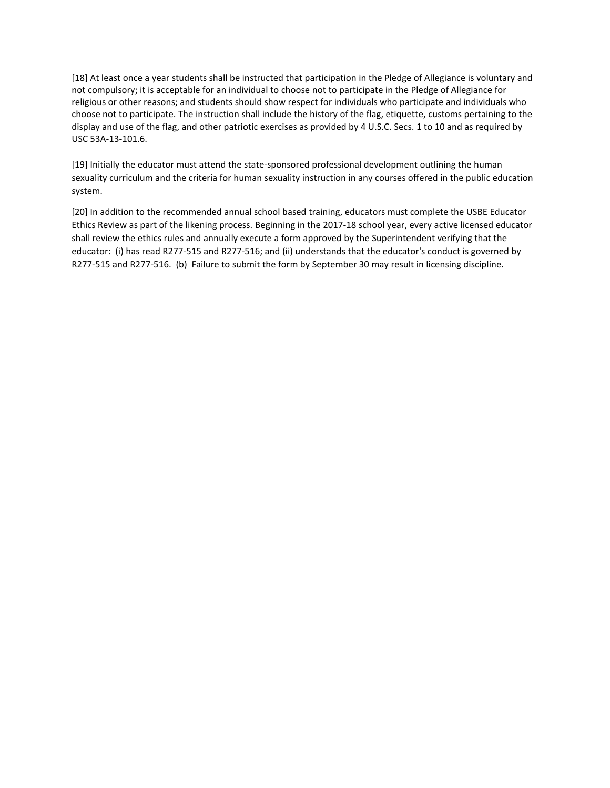[18] At least once a year students shall be instructed that participation in the Pledge of Allegiance is voluntary and not compulsory; it is acceptable for an individual to choose not to participate in the Pledge of Allegiance for religious or other reasons; and students should show respect for individuals who participate and individuals who choose not to participate. The instruction shall include the history of the flag, etiquette, customs pertaining to the display and use of the flag, and other patriotic exercises as provided by 4 U.S.C. Secs. 1 to 10 and as required by USC 53A-13-101.6.

[19] Initially the educator must attend the state-sponsored professional development outlining the human sexuality curriculum and the criteria for human sexuality instruction in any courses offered in the public education system.

[20] In addition to the recommended annual school based training, educators must complete the USBE Educator Ethics Review as part of the likening process. Beginning in the 2017-18 school year, every active licensed educator shall review the ethics rules and annually execute a form approved by the Superintendent verifying that the educator: (i) has read R277-515 and R277-516; and (ii) understands that the educator's conduct is governed by R277-515 and R277-516. (b) Failure to submit the form by September 30 may result in licensing discipline.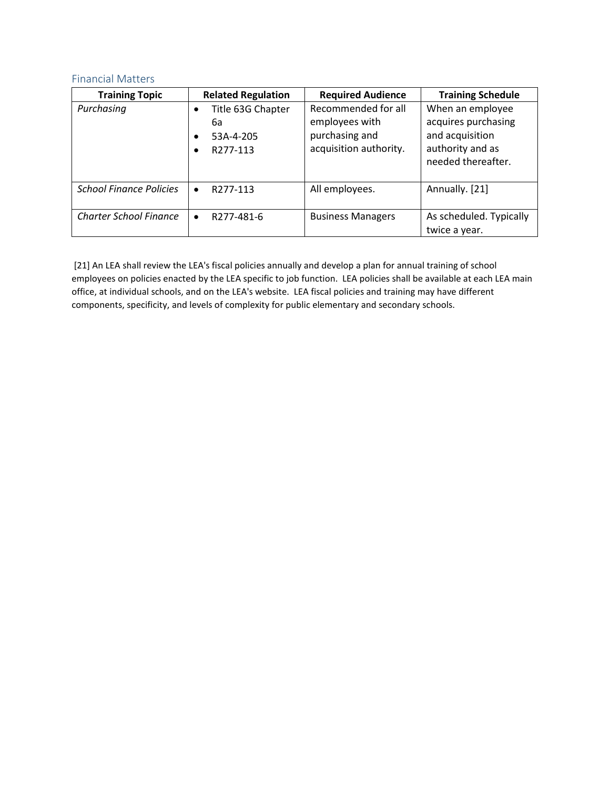## <span id="page-12-0"></span>Financial Matters

| <b>Training Topic</b>          | <b>Related Regulation</b>                                               | <b>Required Audience</b>                                                          | <b>Training Schedule</b>                                                                             |
|--------------------------------|-------------------------------------------------------------------------|-----------------------------------------------------------------------------------|------------------------------------------------------------------------------------------------------|
| Purchasing                     | Title 63G Chapter<br>$\bullet$<br>6а<br>53A-4-205<br>٠<br>R277-113<br>٠ | Recommended for all<br>employees with<br>purchasing and<br>acquisition authority. | When an employee<br>acquires purchasing<br>and acquisition<br>authority and as<br>needed thereafter. |
| <b>School Finance Policies</b> | R277-113<br>$\bullet$                                                   | All employees.                                                                    | Annually. [21]                                                                                       |
| <b>Charter School Finance</b>  | R277-481-6<br>$\bullet$                                                 | <b>Business Managers</b>                                                          | As scheduled. Typically<br>twice a year.                                                             |

[21] An LEA shall review the LEA's fiscal policies annually and develop a plan for annual training of school employees on policies enacted by the LEA specific to job function. LEA policies shall be available at each LEA main office, at individual schools, and on the LEA's website. LEA fiscal policies and training may have different components, specificity, and levels of complexity for public elementary and secondary schools.